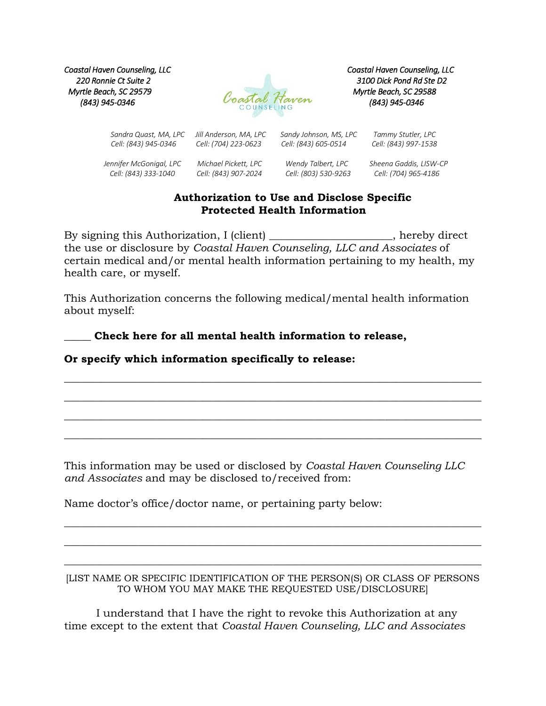*Coastal Haven Counseling, LLC Coastal Haven Counseling, LLC Myrtle Beach, SC 29579 Myrtle Beach, SC 29588*



 *Sandra Quast, MA, LPC Jill Anderson, MA, LPC Sandy Johnson, MS, LPC Tammy Stutler, LPC*

*Cell: (843) 945-0346 Cell: (704) 223-0623 Cell: (843) 605-0514 Cell: (843) 997-1538*

 *Jennifer McGonigal, LPC Michael Pickett, LPC Wendy Talbert, LPC Sheena Gaddis, LISW-CP Cell: (843) 333-1040 Cell: (843) 907-2024 Cell: (803) 530-9263 Cell: (704) 965-4186*

## **Authorization to Use and Disclose Specific Protected Health Information**

By signing this Authorization, I (client) \_\_\_\_\_\_\_\_\_\_\_\_\_\_\_\_\_\_\_\_, hereby direct the use or disclosure by *Coastal Haven Counseling, LLC and Associates* of certain medical and/or mental health information pertaining to my health, my health care, or myself.

This Authorization concerns the following medical/mental health information about myself:

\_\_\_\_\_\_\_\_\_\_\_\_\_\_\_\_\_\_\_\_\_\_\_\_\_\_\_\_\_\_\_\_\_\_\_\_\_\_\_\_\_\_\_\_\_\_\_\_\_\_\_\_\_\_\_\_\_\_\_\_\_\_\_\_\_\_\_\_\_\_\_\_\_\_\_\_\_\_

 $\_$  , and the set of the set of the set of the set of the set of the set of the set of the set of the set of the set of the set of the set of the set of the set of the set of the set of the set of the set of the set of th

\_\_\_\_\_\_\_\_\_\_\_\_\_\_\_\_\_\_\_\_\_\_\_\_\_\_\_\_\_\_\_\_\_\_\_\_\_\_\_\_\_\_\_\_\_\_\_\_\_\_\_\_\_\_\_\_\_\_\_\_\_\_\_\_\_\_\_\_\_\_\_\_\_\_\_\_\_\_

\_\_\_\_\_\_\_\_\_\_\_\_\_\_\_\_\_\_\_\_\_\_\_\_\_\_\_\_\_\_\_\_\_\_\_\_\_\_\_\_\_\_\_\_\_\_\_\_\_\_\_\_\_\_\_\_\_\_\_\_\_\_\_\_\_\_\_\_\_\_\_\_\_\_\_\_\_\_

\_\_\_\_\_ **Check here for all mental health information to release,**

## **Or specify which information specifically to release:**

This information may be used or disclosed by *Coastal Haven Counseling LLC and Associates* and may be disclosed to/received from:

Name doctor's office/doctor name, or pertaining party below:

## [LIST NAME OR SPECIFIC IDENTIFICATION OF THE PERSON(S) OR CLASS OF PERSONS TO WHOM YOU MAY MAKE THE REQUESTED USE/DISCLOSURE]

 $\_$  , and the set of the set of the set of the set of the set of the set of the set of the set of the set of the set of the set of the set of the set of the set of the set of the set of the set of the set of the set of th

\_\_\_\_\_\_\_\_\_\_\_\_\_\_\_\_\_\_\_\_\_\_\_\_\_\_\_\_\_\_\_\_\_\_\_\_\_\_\_\_\_\_\_\_\_\_\_\_\_\_\_\_\_\_\_\_\_\_\_\_\_\_\_\_\_\_\_\_\_\_\_\_\_\_\_\_\_\_

\_\_\_\_\_\_\_\_\_\_\_\_\_\_\_\_\_\_\_\_\_\_\_\_\_\_\_\_\_\_\_\_\_\_\_\_\_\_\_\_\_\_\_\_\_\_\_\_\_\_\_\_\_\_\_\_\_\_\_\_\_\_\_\_\_\_\_\_\_\_\_\_\_\_\_\_\_\_

I understand that I have the right to revoke this Authorization at any time except to the extent that *Coastal Haven Counseling, LLC and Associates*